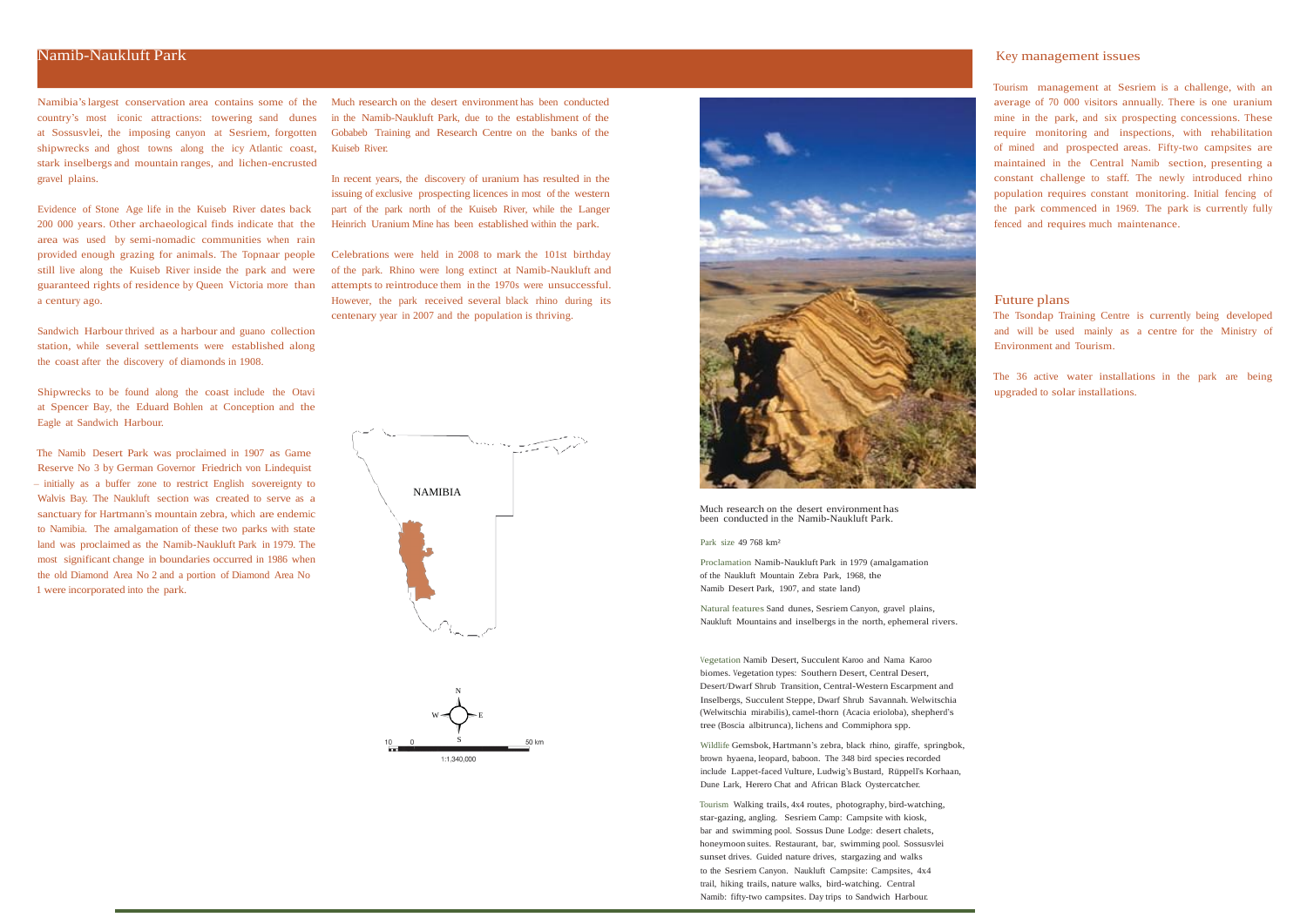Namibia'slargest conservation area contains some of the country's most iconic attractions: towering sand dunes at Sossusvlei, the imposing canyon at Sesriem, forgotten shipwrecks and ghost towns along the icy Atlantic coast, stark inselbergs and mountain ranges, and lichen-encrusted gravel plains.

Evidence of Stone Age life in the Kuiseb River dates back 200 000 years. Other archaeological finds indicate that the area was used by semi-nomadic communities when rain provided enough grazing for animals. The Topnaar people still live along the Kuiseb River inside the park and were guaranteed rights of residence by Queen Victoria more than a century ago.

Sandwich Harbour thrived as a harbour and guano collection station, while several settlements were established along the coast after the discovery of diamonds in 1908.

Shipwrecks to be found along the coast include the Otavi at Spencer Bay, the Eduard Bohlen at Conception and the Eagle at Sandwich Harbour.

The Namib Desert Park was proclaimed in 1907 as Game Reserve No 3 by German Governor Friedrich von Lindequist – initially as a buffer zone to restrict English sovereignty to Walvis Bay. The Naukluft section was created to serve as a sanctuary for Hartmann's mountain zebra, which are endemic to Namibia. The amalgamation of these two parks with state land was proclaimed as the Namib-Naukluft Park in 1979. The most significant change in boundaries occurred in 1986 when the old Diamond Area No 2 and a portion of Diamond Area No 1 were incorporated into the park.

Much research on the desert environment has been conducted in the Namib-Naukluft Park, due to the establishment of the Gobabeb Training and Research Centre on the banks of the Kuiseb River.

In recent years, the discovery of uranium has resulted in the issuing of exclusive prospecting licences in most of the western part of the park north of the Kuiseb River, while the Langer Heinrich Uranium Mine has been established within the park.

Celebrations were held in 2008 to mark the 101st birthday of the park. Rhino were long extinct at Namib-Naukluft and attempts to reintroduce them in the 1970s were unsuccessful. However, the park received several black rhino during its centenary year in 2007 and the population is thriving.

> Much research on the desert environment has been conducted in the Namib-Naukluft Park.

Park size 49 768 km²

Proclamation Namib-Naukluft Park in 1979 (amalgamation of the Naukluft Mountain Zebra Park, 1968, the Namib Desert Park, 1907, and state land)

Natural features Sand dunes, Sesriem Canyon, gravel plains, Naukluft Mountains and inselbergs in the north, ephemeral rivers. Tourism management at Sesriem is a challenge, with an average of 70 000 visitors annually. There is one uranium mine in the park, and six prospecting concessions. These require monitoring and inspections, with rehabilitation of mined and prospected areas. Fifty-two campsites are maintained in the Central Namib section, presenting a constant challenge to staff. The newly introduced rhino population requires constant monitoring. Initial fencing of the park commenced in 1969. The park is currently fully fenced and requires much maintenance.





## Future plans

The Tsondap Training Centre is currently being developed and will be used mainly as a centre for the Ministry of Environment and Tourism.

The 36 active water installations in the park are being upgraded to solar installations.

Vegetation Namib Desert, Succulent Karoo and Nama Karoo biomes. Vegetation types: Southern Desert, Central Desert, Desert/Dwarf Shrub Transition, Central-Western Escarpment and Inselbergs, Succulent Steppe, Dwarf Shrub Savannah. Welwitschia (Welwitschia mirabilis), camel-thorn (Acacia erioloba), shepherd's tree (Boscia albitrunca), lichens and Commiphora spp.

Wildlife Gemsbok, Hartmann's zebra, black rhino, giraffe, springbok, brown hyaena, leopard, baboon. The 348 bird species recorded include Lappet-faced Vulture, Ludwig's Bustard, Rüppell's Korhaan, Dune Lark, Herero Chat and African Black Oystercatcher.

Tourism Walking trails, 4x4 routes, photography, bird-watching, star-gazing, angling. Sesriem Camp: Campsite with kiosk, bar and swimming pool. Sossus Dune Lodge: desert chalets, honeymoon suites. Restaurant, bar, swimming pool. Sossusvlei sunset drives. Guided nature drives, stargazing and walks to the Sesriem Canyon. Naukluft Campsite: Campsites, 4x4 trail, hiking trails, nature walks, bird-watching. Central Namib: fifty-two campsites. Day trips to Sandwich Harbour.

## Namib-Naukluft Park Key management issues